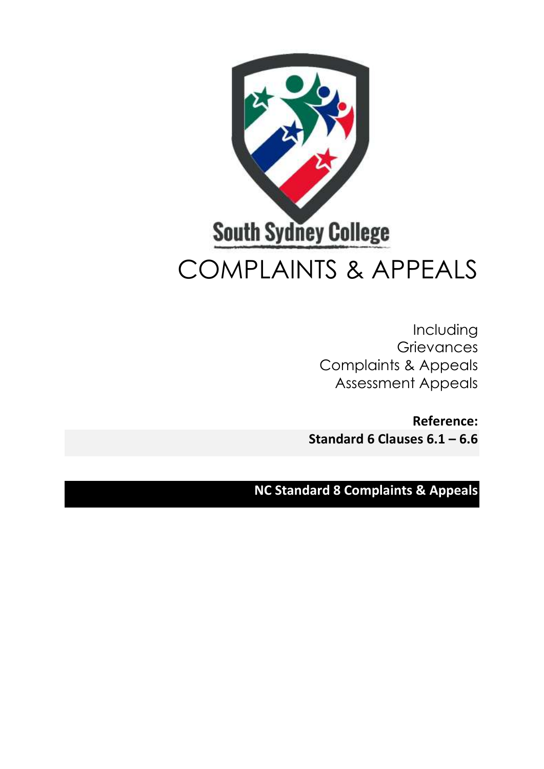

Including **Grievances** Complaints & Appeals Assessment Appeals

**Reference: Standard 6 Clauses 6.1 – 6.6**

**NC Standard 8 Complaints & Appeals**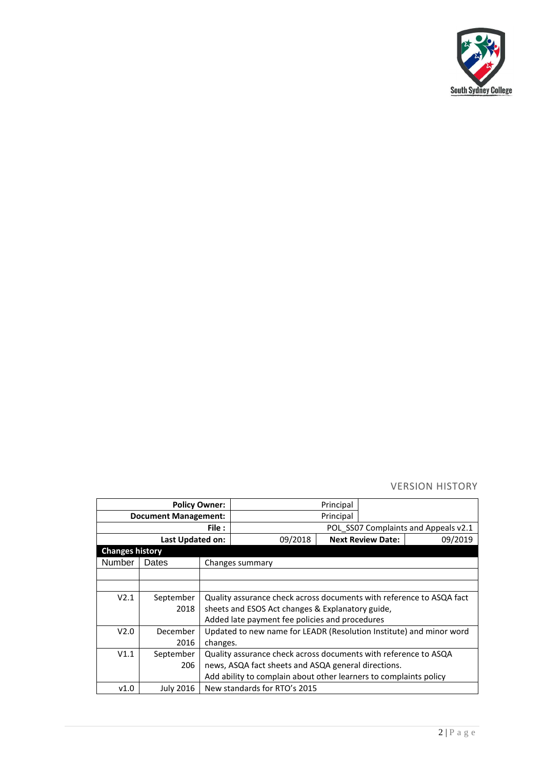

VERSION HISTORY

|                             |           | <b>Policy Owner:</b>                                                 |                                                                     | Principal |                          |                                      |
|-----------------------------|-----------|----------------------------------------------------------------------|---------------------------------------------------------------------|-----------|--------------------------|--------------------------------------|
| <b>Document Management:</b> |           |                                                                      |                                                                     | Principal |                          |                                      |
| File :                      |           |                                                                      |                                                                     |           |                          | POL SS07 Complaints and Appeals v2.1 |
| Last Updated on:            |           |                                                                      | 09/2018                                                             |           | <b>Next Review Date:</b> | 09/2019                              |
| <b>Changes history</b>      |           |                                                                      |                                                                     |           |                          |                                      |
| <b>Number</b>               | Dates     |                                                                      | Changes summary                                                     |           |                          |                                      |
|                             |           |                                                                      |                                                                     |           |                          |                                      |
|                             |           |                                                                      |                                                                     |           |                          |                                      |
| V2.1                        | September | Quality assurance check across documents with reference to ASQA fact |                                                                     |           |                          |                                      |
|                             | 2018      |                                                                      | sheets and ESOS Act changes & Explanatory guide,                    |           |                          |                                      |
|                             |           |                                                                      | Added late payment fee policies and procedures                      |           |                          |                                      |
| V2.0                        | December  |                                                                      | Updated to new name for LEADR (Resolution Institute) and minor word |           |                          |                                      |
|                             | 2016      | changes.                                                             |                                                                     |           |                          |                                      |
| V1.1                        | September |                                                                      | Quality assurance check across documents with reference to ASQA     |           |                          |                                      |
|                             | 206       |                                                                      | news, ASQA fact sheets and ASQA general directions.                 |           |                          |                                      |
|                             |           |                                                                      | Add ability to complain about other learners to complaints policy   |           |                          |                                      |
| v1.0                        | July 2016 |                                                                      | New standards for RTO's 2015                                        |           |                          |                                      |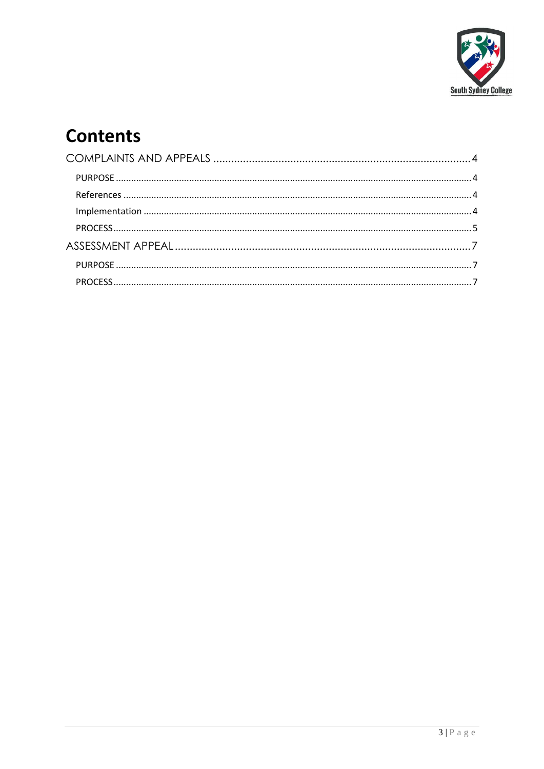

# **Contents**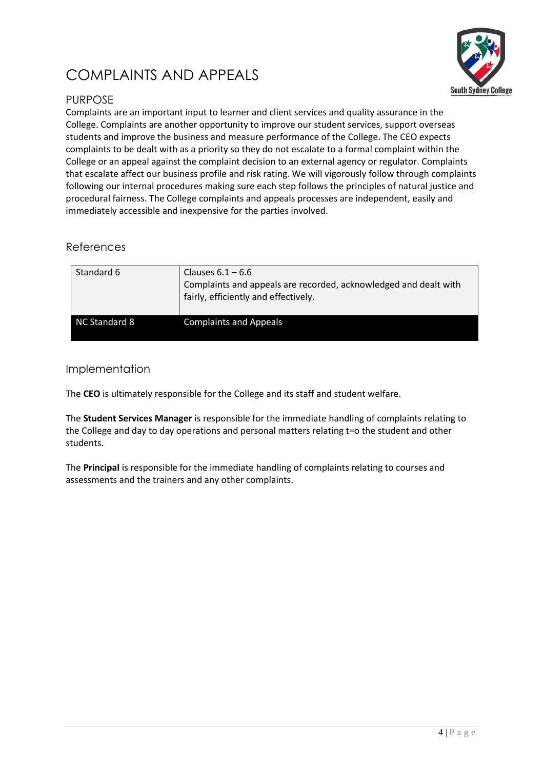## <span id="page-3-0"></span>COMPLAINTS AND APPEALS



#### <span id="page-3-1"></span>PURPOSE

Complaints are an important input to learner and client services and quality assurance in the College. Complaints are another opportunity to improve our student services, support overseas students and improve the business and measure performance of the College. The CEO expects complaints to be dealt with as a priority so they do not escalate to a formal complaint within the College or an appeal against the complaint decision to an external agency or regulator. Complaints that escalate affect our business profile and risk rating. We will vigorously follow through complaints following our internal procedures making sure each step follows the principles of natural justice and procedural fairness. The College complaints and appeals processes are independent, easily and immediately accessible and inexpensive for the parties involved.

#### <span id="page-3-2"></span>References

| Standard 6    | Clauses $6.1 - 6.6$<br>Complaints and appeals are recorded, acknowledged and dealt with<br>fairly, efficiently and effectively. |
|---------------|---------------------------------------------------------------------------------------------------------------------------------|
| NC Standard 8 | <b>Complaints and Appeals</b>                                                                                                   |

#### <span id="page-3-3"></span>Implementation

The **CEO** is ultimately responsible for the College and its staff and student welfare.

The **Student Services Manager** is responsible for the immediate handling of complaints relating to the College and day to day operations and personal matters relating t=o the student and other students.

The **Principal** is responsible for the immediate handling of complaints relating to courses and assessments and the trainers and any other complaints.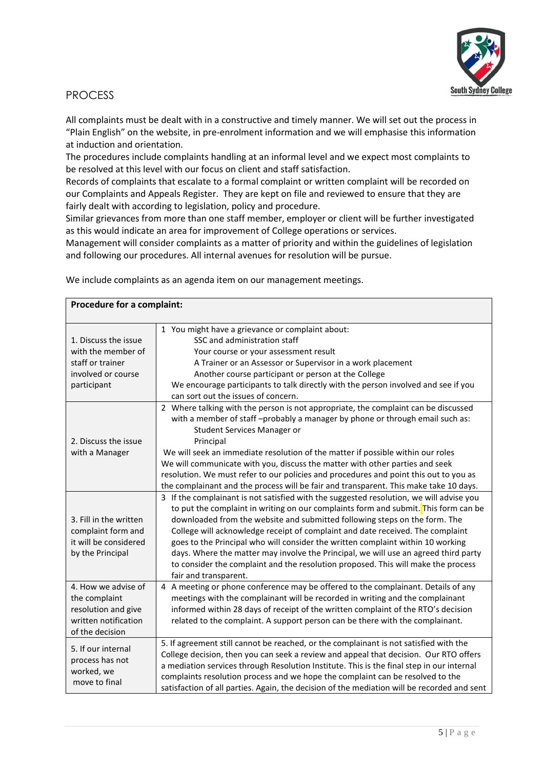

#### <span id="page-4-0"></span>PROCESS

All complaints must be dealt with in a constructive and timely manner. We will set out the process in "Plain English" on the website, in pre-enrolment information and we will emphasise this information at induction and orientation.

The procedures include complaints handling at an informal level and we expect most complaints to be resolved at this level with our focus on client and staff satisfaction.

Records of complaints that escalate to a formal complaint or written complaint will be recorded on our Complaints and Appeals Register. They are kept on file and reviewed to ensure that they are fairly dealt with according to legislation, policy and procedure.

Similar grievances from more than one staff member, employer or client will be further investigated as this would indicate an area for improvement of College operations or services.

Management will consider complaints as a matter of priority and within the guidelines of legislation and following our procedures. All internal avenues for resolution will be pursue.

| Procedure for a complaint:                                                                             |                                                                                                                                                                                                                                                                                                                                                                                                                                                                                                                                                                                                                                        |  |
|--------------------------------------------------------------------------------------------------------|----------------------------------------------------------------------------------------------------------------------------------------------------------------------------------------------------------------------------------------------------------------------------------------------------------------------------------------------------------------------------------------------------------------------------------------------------------------------------------------------------------------------------------------------------------------------------------------------------------------------------------------|--|
| 1. Discuss the issue<br>with the member of<br>staff or trainer<br>involved or course<br>participant    | 1 You might have a grievance or complaint about:<br>SSC and administration staff<br>Your course or your assessment result<br>A Trainer or an Assessor or Supervisor in a work placement<br>Another course participant or person at the College<br>We encourage participants to talk directly with the person involved and see if you<br>can sort out the issues of concern.<br>2 Where talking with the person is not appropriate, the complaint can be discussed<br>with a member of staff -probably a manager by phone or through email such as:<br>Student Services Manager or                                                      |  |
| 2. Discuss the issue<br>with a Manager                                                                 | Principal<br>We will seek an immediate resolution of the matter if possible within our roles<br>We will communicate with you, discuss the matter with other parties and seek<br>resolution. We must refer to our policies and procedures and point this out to you as<br>the complainant and the process will be fair and transparent. This make take 10 days.                                                                                                                                                                                                                                                                         |  |
| 3. Fill in the written<br>complaint form and<br>it will be considered<br>by the Principal              | 3 If the complainant is not satisfied with the suggested resolution, we will advise you<br>to put the complaint in writing on our complaints form and submit. This form can be<br>downloaded from the website and submitted following steps on the form. The<br>College will acknowledge receipt of complaint and date received. The complaint<br>goes to the Principal who will consider the written complaint within 10 working<br>days. Where the matter may involve the Principal, we will use an agreed third party<br>to consider the complaint and the resolution proposed. This will make the process<br>fair and transparent. |  |
| 4. How we advise of<br>the complaint<br>resolution and give<br>written notification<br>of the decision | 4 A meeting or phone conference may be offered to the complainant. Details of any<br>meetings with the complainant will be recorded in writing and the complainant<br>informed within 28 days of receipt of the written complaint of the RTO's decision<br>related to the complaint. A support person can be there with the complainant.                                                                                                                                                                                                                                                                                               |  |
| 5. If our internal<br>process has not<br>worked, we<br>move to final                                   | 5. If agreement still cannot be reached, or the complainant is not satisfied with the<br>College decision, then you can seek a review and appeal that decision. Our RTO offers<br>a mediation services through Resolution Institute. This is the final step in our internal<br>complaints resolution process and we hope the complaint can be resolved to the<br>satisfaction of all parties. Again, the decision of the mediation will be recorded and sent                                                                                                                                                                           |  |

We include complaints as an agenda item on our management meetings.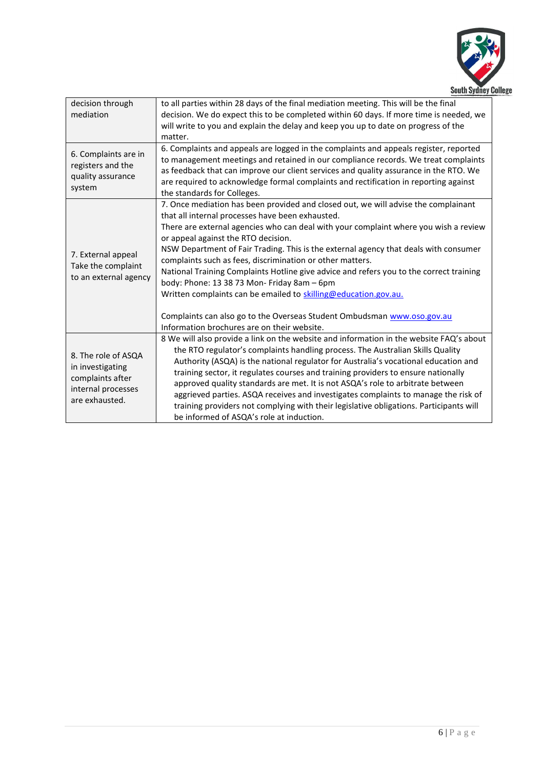

| decision through<br>mediation                                                                       | to all parties within 28 days of the final mediation meeting. This will be the final<br>decision. We do expect this to be completed within 60 days. If more time is needed, we<br>will write to you and explain the delay and keep you up to date on progress of the<br>matter.                                                                                                                                                                                                                                                                                                                                                                                                                                                                                   |
|-----------------------------------------------------------------------------------------------------|-------------------------------------------------------------------------------------------------------------------------------------------------------------------------------------------------------------------------------------------------------------------------------------------------------------------------------------------------------------------------------------------------------------------------------------------------------------------------------------------------------------------------------------------------------------------------------------------------------------------------------------------------------------------------------------------------------------------------------------------------------------------|
| 6. Complaints are in<br>registers and the<br>quality assurance<br>system                            | 6. Complaints and appeals are logged in the complaints and appeals register, reported<br>to management meetings and retained in our compliance records. We treat complaints<br>as feedback that can improve our client services and quality assurance in the RTO. We<br>are required to acknowledge formal complaints and rectification in reporting against<br>the standards for Colleges.                                                                                                                                                                                                                                                                                                                                                                       |
| 7. External appeal<br>Take the complaint<br>to an external agency                                   | 7. Once mediation has been provided and closed out, we will advise the complainant<br>that all internal processes have been exhausted.<br>There are external agencies who can deal with your complaint where you wish a review<br>or appeal against the RTO decision.<br>NSW Department of Fair Trading. This is the external agency that deals with consumer<br>complaints such as fees, discrimination or other matters.<br>National Training Complaints Hotline give advice and refers you to the correct training<br>body: Phone: 13 38 73 Mon- Friday 8am - 6pm<br>Written complaints can be emailed to skilling@education.gov.au.<br>Complaints can also go to the Overseas Student Ombudsman www.oso.gov.au<br>Information brochures are on their website. |
| 8. The role of ASQA<br>in investigating<br>complaints after<br>internal processes<br>are exhausted. | 8 We will also provide a link on the website and information in the website FAQ's about<br>the RTO regulator's complaints handling process. The Australian Skills Quality<br>Authority (ASQA) is the national regulator for Australia's vocational education and<br>training sector, it regulates courses and training providers to ensure nationally<br>approved quality standards are met. It is not ASQA's role to arbitrate between<br>aggrieved parties. ASQA receives and investigates complaints to manage the risk of<br>training providers not complying with their legislative obligations. Participants will<br>be informed of ASQA's role at induction.                                                                                               |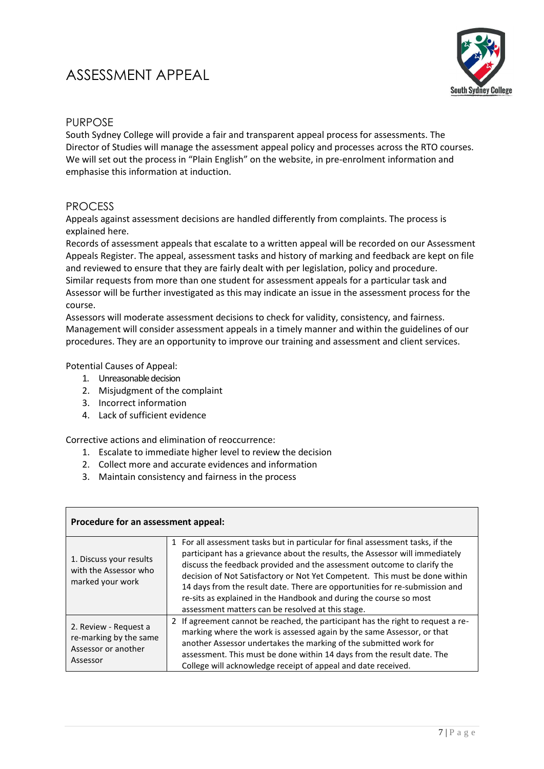### <span id="page-6-1"></span><span id="page-6-0"></span>ASSESSMENT APPEAL



#### PURPOSE

South Sydney College will provide a fair and transparent appeal process for assessments. The Director of Studies will manage the assessment appeal policy and processes across the RTO courses. We will set out the process in "Plain English" on the website, in pre-enrolment information and emphasise this information at induction.

#### <span id="page-6-2"></span>PROCESS

Appeals against assessment decisions are handled differently from complaints. The process is explained here.

Records of assessment appeals that escalate to a written appeal will be recorded on our Assessment Appeals Register. The appeal, assessment tasks and history of marking and feedback are kept on file and reviewed to ensure that they are fairly dealt with per legislation, policy and procedure. Similar requests from more than one student for assessment appeals for a particular task and Assessor will be further investigated as this may indicate an issue in the assessment process for the course.

Assessors will moderate assessment decisions to check for validity, consistency, and fairness. Management will consider assessment appeals in a timely manner and within the guidelines of our procedures. They are an opportunity to improve our training and assessment and client services.

Potential Causes of Appeal:

- 1. Unreasonable decision
- 2. Misjudgment of the complaint
- 3. Incorrect information
- 4. Lack of sufficient evidence

Corrective actions and elimination of reoccurrence:

- 1. Escalate to immediate higher level to review the decision
- 2. Collect more and accurate evidences and information
- 3. Maintain consistency and fairness in the process

| Procedure for an assessment appeal:                                                |                                                                                                                                                                                                                                                                                                                                                                                                                                                                                                                                     |
|------------------------------------------------------------------------------------|-------------------------------------------------------------------------------------------------------------------------------------------------------------------------------------------------------------------------------------------------------------------------------------------------------------------------------------------------------------------------------------------------------------------------------------------------------------------------------------------------------------------------------------|
| 1. Discuss your results<br>with the Assessor who<br>marked your work               | 1 For all assessment tasks but in particular for final assessment tasks, if the<br>participant has a grievance about the results, the Assessor will immediately<br>discuss the feedback provided and the assessment outcome to clarify the<br>decision of Not Satisfactory or Not Yet Competent. This must be done within<br>14 days from the result date. There are opportunities for re-submission and<br>re-sits as explained in the Handbook and during the course so most<br>assessment matters can be resolved at this stage. |
| 2. Review - Request a<br>re-marking by the same<br>Assessor or another<br>Assessor | 2 If agreement cannot be reached, the participant has the right to request a re-<br>marking where the work is assessed again by the same Assessor, or that<br>another Assessor undertakes the marking of the submitted work for<br>assessment. This must be done within 14 days from the result date. The<br>College will acknowledge receipt of appeal and date received.                                                                                                                                                          |